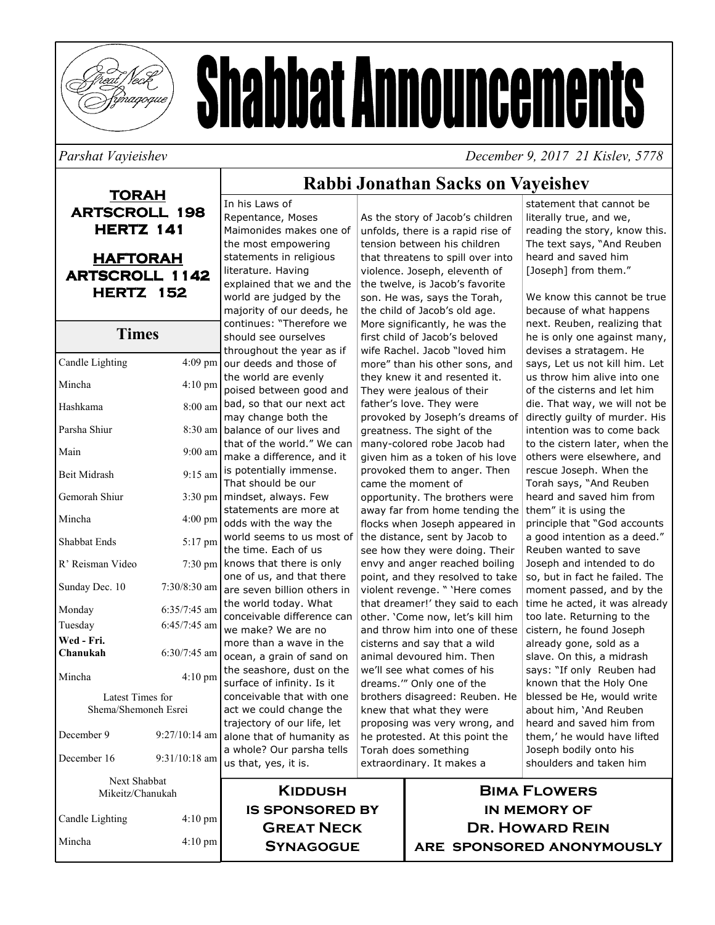

# **Shabbat Announcements**

## Parshat Vavieishev

December 9, 2017 21 Kisley, 5778

## **TORAH ARTSCROLL 198 HERTZ 141 HAFTORAH ARTSCROLL 1142 HERTZ 152 Times**

| Candle Lighting                          | 4:09 pm           |
|------------------------------------------|-------------------|
| Mincha                                   | $4:10 \text{ pm}$ |
| Hashkama                                 | 8:00 am           |
| Parsha Shiur                             | 8:30 am           |
| Main                                     | $9:00$ am         |
| <b>Beit Midrash</b>                      | $9:15$ am         |
| Gemorah Shiur                            | $3:30 \text{ pm}$ |
| Mincha                                   | $4:00 \text{ pm}$ |
| <b>Shabbat Ends</b>                      | 5:17 pm           |
| R' Reisman Video                         | 7:30 pm           |
| Sunday Dec. 10                           | 7:30/8:30 am      |
| Monday                                   | 6:35/7:45 am      |
| Tuesday                                  | 6:45/7:45 am      |
| Wed - Fri.                               |                   |
| Chanukah                                 | $6:30/7:45$ am    |
| Mincha                                   | $4:10$ pm         |
| Latest Times for<br>Shema/Shemoneh Esrei |                   |
| December 9                               | $9:27/10:14$ am   |
| December 16                              | $9:31/10:18$ am   |
| <b>Next Shabbat</b><br>Mikeitz/Chanukah  |                   |
| Candle Lighting                          | $4:10 \text{ pm}$ |
| Mincha                                   | 4:10 pm           |

#### In his Laws of Repentance, Moses Maimonides makes one of the most empowering statements in religious literature. Having explained that we and the world are judged by the majority of our deeds, he continues: "Therefore we should see ourselves throughout the year as if our deeds and those of the world are evenly poised between good and bad, so that our next act may change both the balance of our lives and that of the world." We can make a difference, and it is potentially immense. That should be our mindset, always. Few statements are more at odds with the way the world seems to us most of the time. Fach of us knows that there is only one of us, and that there are seven billion others in the world today. What conceivable difference can we make? We are no more than a wave in the ocean, a grain of sand on the seashore, dust on the surface of infinity. Is it conceivable that with one act we could change the trajectory of our life, let alone that of humanity as a whole? Our parsha tells us that, yes, it is.

Rabbi Jonathan Sacks on Vaveishev

As the story of Jacob's children unfolds, there is a rapid rise of tension between his children that threatens to spill over into violence. Joseph, eleventh of the twelve, is Jacob's favorite son. He was, says the Torah, the child of Jacob's old age. More significantly, he was the first child of Jacob's beloved wife Rachel. Jacob "loved him more" than his other sons, and they knew it and resented it. They were jealous of their father's love. They were provoked by Joseph's dreams of greatness. The sight of the many-colored robe Jacob had given him as a token of his love provoked them to anger. Then came the moment of opportunity. The brothers were away far from home tending the flocks when Joseph appeared in the distance, sent by Jacob to see how they were doing. Their envy and anger reached boiling point, and they resolved to take violent revenge. " 'Here comes that dreamer!' they said to each other. 'Come now, let's kill him and throw him into one of these cisterns and say that a wild animal devoured him. Then we'll see what comes of his dreams."" Only one of the brothers disagreed: Reuben. He knew that what they were proposing was very wrong, and he protested. At this point the Torah does something extraordinary. It makes a

statement that cannot be literally true, and we, reading the story, know this. The text says, "And Reuben heard and saved him [Joseph] from them."

We know this cannot be true because of what happens next. Reuben, realizing that he is only one against many, devises a stratagem. He says, Let us not kill him. Let us throw him alive into one of the cisterns and let him die. That way, we will not be directly quilty of murder. His intention was to come back to the cistern later, when the others were elsewhere, and rescue Joseph. When the Torah says, "And Reuben heard and saved him from them" it is using the principle that "God accounts a good intention as a deed." Reuben wanted to save Joseph and intended to do so, but in fact he failed. The moment passed, and by the time he acted, it was already too late. Returning to the cistern, he found Joseph already gone, sold as a slave. On this, a midrash says: "If only Reuben had known that the Holy One blessed be He, would write about him, 'And Reuben heard and saved him from them,' he would have lifted Joseph bodily onto his shoulders and taken him

**KIDDUSH IS SPONSORED BY GREAT NECK SYNAGOGUE** 

**BIMA FLOWERS IN MEMORY OF DR. HOWARD REIN** ARE SPONSORED ANONYMOUSLY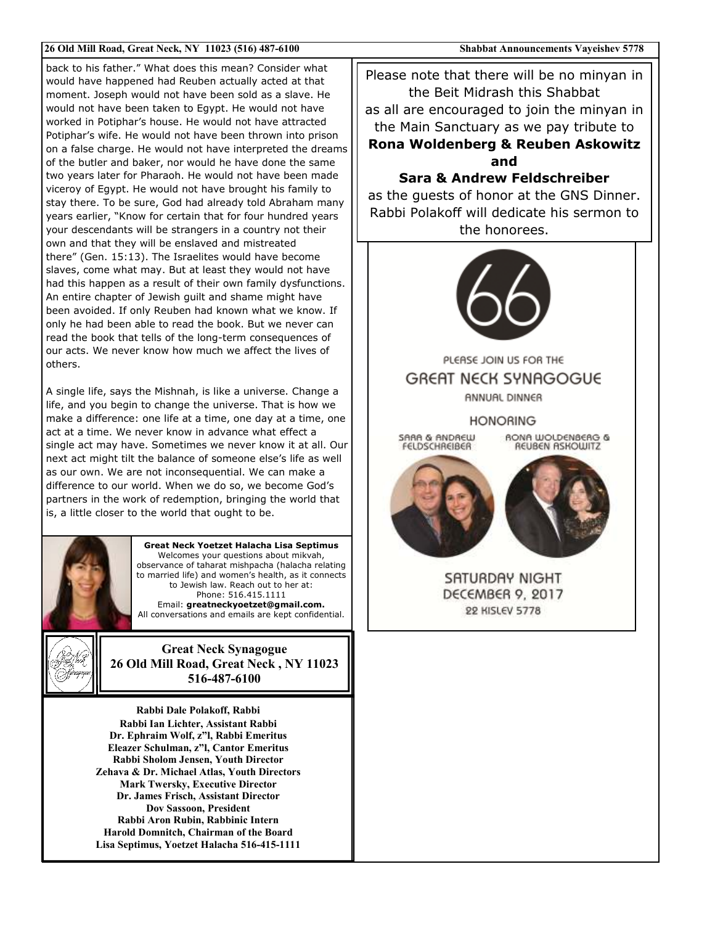#### 26 Old Mill Road, Great Neck, NY 11023 (516) 487-6100

back to his father." What does this mean? Consider what would have happened had Reuben actually acted at that moment. Joseph would not have been sold as a slave. He would not have been taken to Egypt. He would not have worked in Potiphar's house. He would not have attracted Potiphar's wife. He would not have been thrown into prison on a false charge. He would not have interpreted the dreams of the butler and baker, nor would he have done the same two years later for Pharaoh. He would not have been made viceroy of Eqypt. He would not have brought his family to stay there. To be sure, God had already told Abraham many years earlier, "Know for certain that for four hundred years your descendants will be strangers in a country not their own and that they will be enslaved and mistreated there" (Gen. 15:13). The Israelites would have become slaves, come what may. But at least they would not have had this happen as a result of their own family dysfunctions. An entire chapter of Jewish quilt and shame might have been avoided. If only Reuben had known what we know. If only he had been able to read the book. But we never can read the book that tells of the long-term consequences of our acts. We never know how much we affect the lives of others.

A single life, says the Mishnah, is like a universe. Change a life, and you begin to change the universe. That is how we make a difference: one life at a time, one day at a time, one act at a time. We never know in advance what effect a single act may have. Sometimes we never know it at all. Our next act might tilt the balance of someone else's life as well as our own. We are not inconsequential. We can make a difference to our world. When we do so, we become God's partners in the work of redemption, bringing the world that is, a little closer to the world that ought to be.



**Great Neck Yoetzet Halacha Lisa Septimus** Welcomes your questions about mikvah, observance of taharat mishpacha (halacha relating to married life) and women's health, as it connects to Jewish law. Reach out to her at: Phone: 516.415.1111 Email: greatneckyoetzet@gmail.com. All conversations and emails are kept confidential.



**Great Neck Synagogue** 26 Old Mill Road, Great Neck, NY 11023 516-487-6100

Rabbi Dale Polakoff, Rabbi Rabbi Ian Lichter, Assistant Rabbi Dr. Ephraim Wolf, z"l, Rabbi Emeritus Eleazer Schulman, z"l, Cantor Emeritus Rabbi Sholom Jensen, Youth Director Zehava & Dr. Michael Atlas, Youth Directors **Mark Twersky, Executive Director** Dr. James Frisch. Assistant Director **Dov Sassoon, President** Rabbi Aron Rubin, Rabbinic Intern Harold Domnitch, Chairman of the Board Lisa Septimus, Yoetzet Halacha 516-415-1111

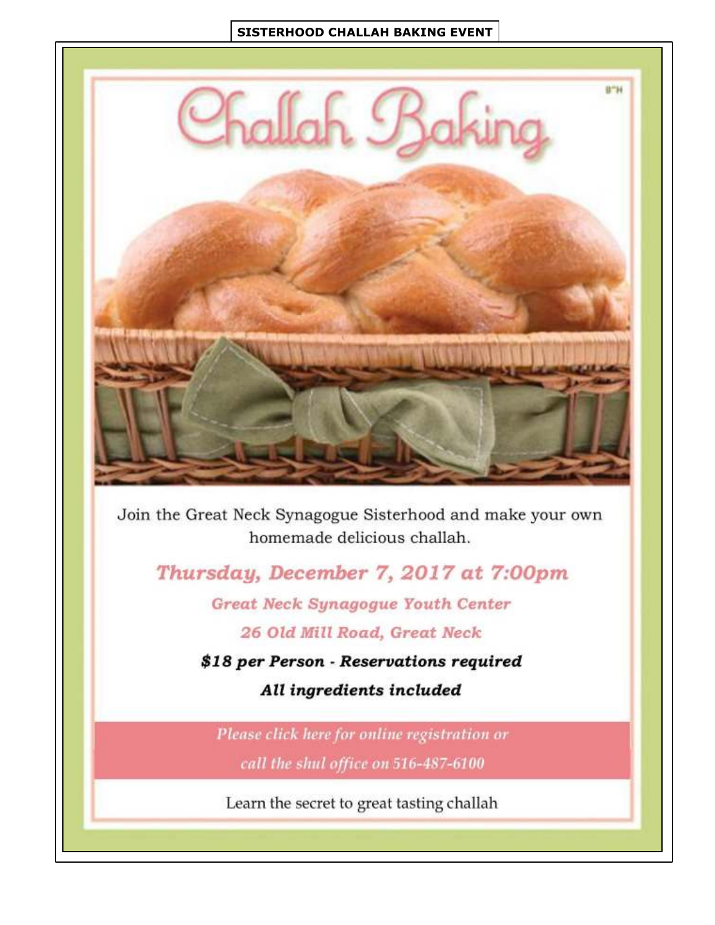## **SISTERHOOD CHALLAH BAKING EVENT**



Join the Great Neck Synagogue Sisterhood and make your own homemade delicious challah.

Thursday, December 7, 2017 at 7:00pm

Great Neck Synagogue Youth Center

26 Old Mill Road, Great Neck

\$18 per Person - Reservations required

All ingredients included

Please click here for online registration or call the shul office on 516-487-6100

Learn the secret to great tasting challah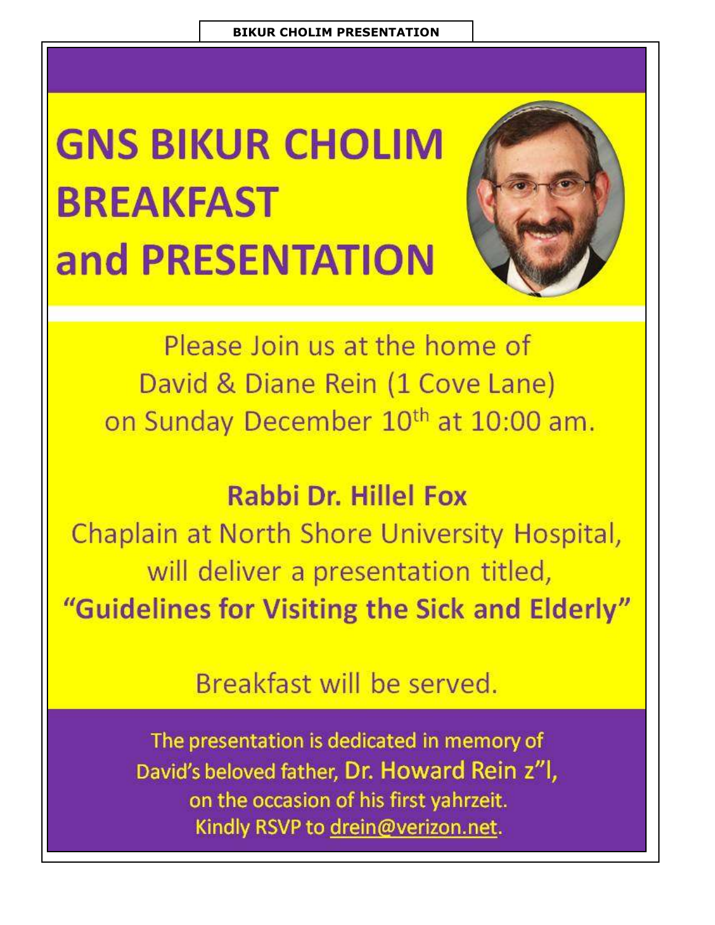## **GNS BIKUR CHOLIM BREAKFAST** and PRESENTATION



Please Join us at the home of David & Diane Rein (1 Cove Lane) on Sunday December 10<sup>th</sup> at 10:00 am.

## **Rabbi Dr. Hillel Fox**

Chaplain at North Shore University Hospital, will deliver a presentation titled, "Guidelines for Visiting the Sick and Elderly"

## Breakfast will be served.

The presentation is dedicated in memory of David's beloved father, Dr. Howard Rein z"l, on the occasion of his first yahrzeit. Kindly RSVP to drein@verizon.net.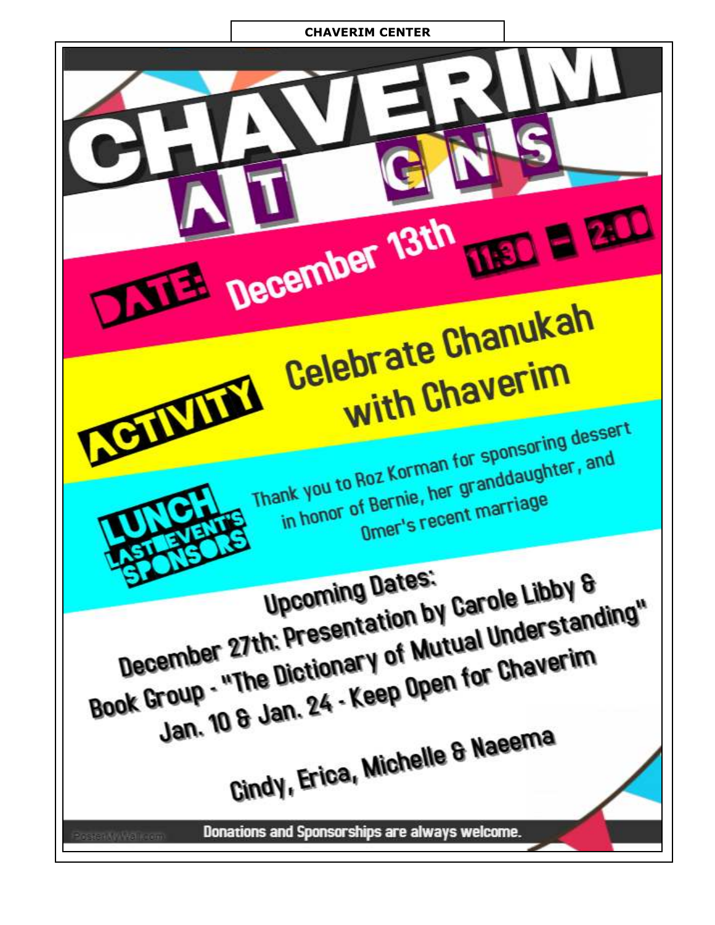## **CHAVERIM CENTER**



Thank you to Roz Korman for sponsoring dessert in honor of Bernie, her granddaughter, and Omer's recent marriage

**Upcoming Dates:** December 27th: Presentation by Carole Libby & Book Group - "The Dictionary of Mutual Understanding" Jan. 10 & Jan. 24 - Keep Open for Chaverim Cindy, Erica, Michelle & Naeema

Donations and Sponsorships are always welcome.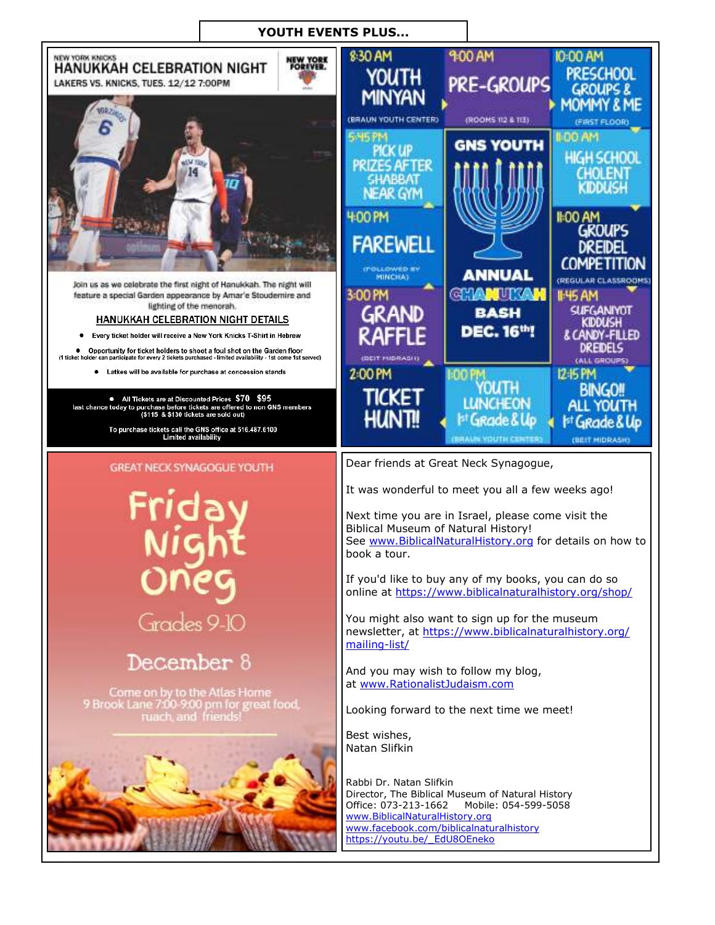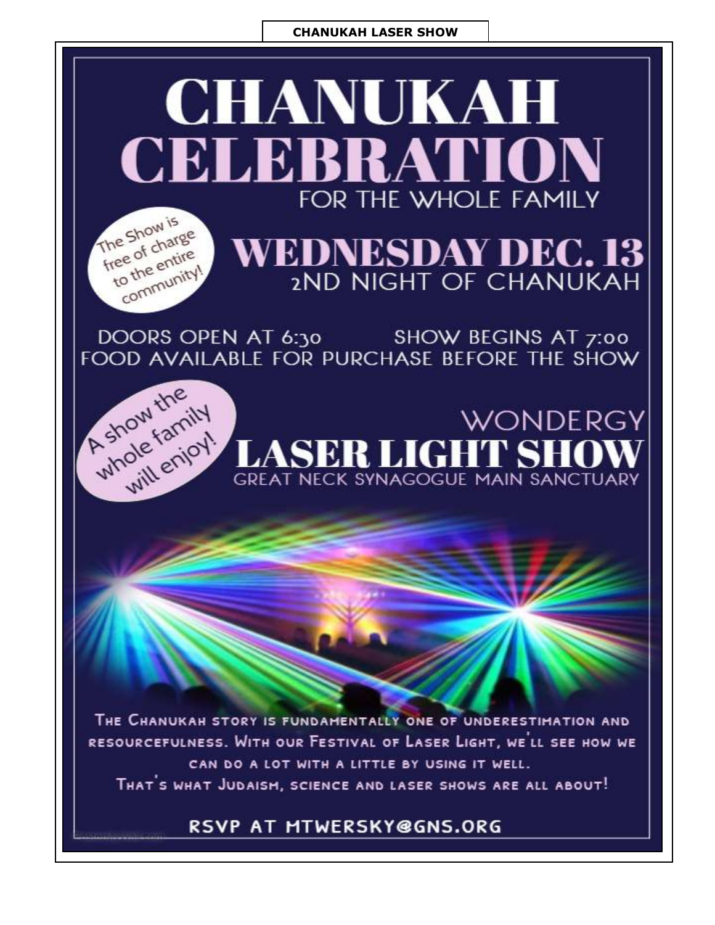## **CHANUKAH LASER SHOW**



DOORS OPEN AT 6:30 SHOW BEGINS AT 7:00<br>FOOD AVAILABLE FOR PURCHASE BEFORE THE SHOW

**WONDERGY** 



THE CHANUKAH STORY IS FUNDAMENTALLY ONE OF UNDERESTIMATION AND RESOURCEFULNESS. WITH OUR FESTIVAL OF LASER LIGHT, WE'LL SEE HOW WE CAN DO A LOT WITH A LITTLE BY USING IT WELL. THAT'S WHAT JUDAISM, SCIENCE AND LASER SHOWS ARE ALL ABOUT!

## RSVP AT MTWERSKY@GNS.ORG